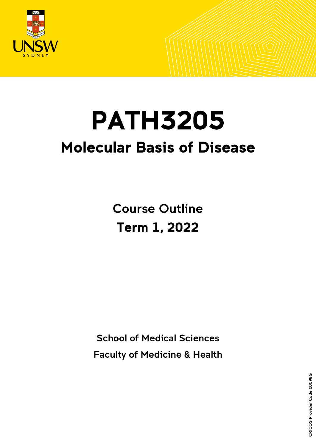

# PATH3205 Molecular Basis of Disease

Course Outline Term 1, 2022

School of Medical Sciences

Faculty of Medicine & Health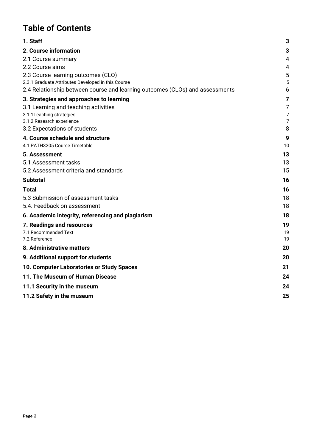# **Table of Contents**

| 1. Staff                                                                                                                           | 3              |
|------------------------------------------------------------------------------------------------------------------------------------|----------------|
| 2. Course information                                                                                                              | 3              |
| 2.1 Course summary                                                                                                                 | 4              |
| 2.2 Course aims                                                                                                                    | 4              |
| 2.3 Course learning outcomes (CLO)                                                                                                 | 5              |
| 2.3.1 Graduate Attributes Developed in this Course<br>2.4 Relationship between course and learning outcomes (CLOs) and assessments | 5<br>6         |
| 3. Strategies and approaches to learning                                                                                           | 7              |
| 3.1 Learning and teaching activities                                                                                               | 7              |
| 3.1.1 Teaching strategies                                                                                                          | 7              |
| 3.1.2 Research experience                                                                                                          | $\overline{7}$ |
| 3.2 Expectations of students                                                                                                       | 8              |
| 4. Course schedule and structure<br>4.1 PATH3205 Course Timetable                                                                  | 9<br>10        |
| 5. Assessment                                                                                                                      | 13             |
| 5.1 Assessment tasks                                                                                                               | 13             |
| 5.2 Assessment criteria and standards                                                                                              | 15             |
| <b>Subtotal</b>                                                                                                                    | 16             |
| Total                                                                                                                              | 16             |
| 5.3 Submission of assessment tasks                                                                                                 | 18             |
| 5.4. Feedback on assessment                                                                                                        | 18             |
| 6. Academic integrity, referencing and plagiarism                                                                                  | 18             |
| 7. Readings and resources                                                                                                          | 19             |
| 7.1 Recommended Text                                                                                                               | 19             |
| 7.2 Reference                                                                                                                      | 19             |
| 8. Administrative matters                                                                                                          | 20             |
| 9. Additional support for students                                                                                                 | 20             |
| 10. Computer Laboratories or Study Spaces                                                                                          | 21             |
| 11. The Museum of Human Disease                                                                                                    | 24             |
| 11.1 Security in the museum                                                                                                        | 24             |
| 11.2 Safety in the museum                                                                                                          | 25             |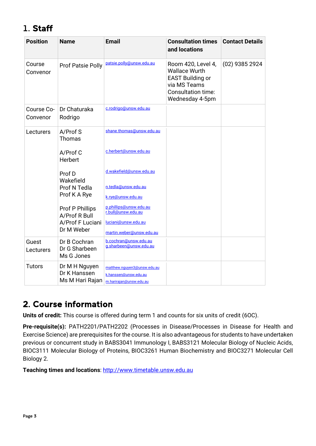# <span id="page-2-0"></span>1. Staff

| <b>Position</b>        | <b>Name</b>                                      | <b>Email</b>                                                                    | <b>Consultation times</b><br>and locations                                                                                     | <b>Contact Details</b> |
|------------------------|--------------------------------------------------|---------------------------------------------------------------------------------|--------------------------------------------------------------------------------------------------------------------------------|------------------------|
| Course<br>Convenor     | Prof Patsie Polly                                | patsie.polly@unsw.edu.au                                                        | Room 420, Level 4,<br><b>Wallace Wurth</b><br><b>EAST Building or</b><br>via MS Teams<br>Consultation time:<br>Wednesday 4-5pm | (02) 9385 2924         |
| Course Co-<br>Convenor | Dr Chaturaka<br>Rodrigo                          | c.rodrigo@unsw.edu.au                                                           |                                                                                                                                |                        |
| Lecturers              | A/Prof S<br>Thomas                               | shane.thomas@unsw.edu.au                                                        |                                                                                                                                |                        |
|                        | A/Prof C<br>Herbert                              | c.herbert@unsw.edu.au                                                           |                                                                                                                                |                        |
|                        | Prof D<br>Wakefield                              | d.wakefield@unsw.edu.au<br>n.tedla@unsw.edu.au                                  |                                                                                                                                |                        |
|                        | Prof N Tedla<br>Prof K A Rye                     | k.rye@unsw.edu.au                                                               |                                                                                                                                |                        |
|                        | Prof P Phillips<br>A/Prof R Bull                 | p.phillips@unsw.edu.au<br>r.bull@unsw.edu.au                                    |                                                                                                                                |                        |
|                        | A/Prof F Luciani<br>Dr M Weber                   | luciani@unsw.edu.au<br>martin.weber@unsw.edu.au                                 |                                                                                                                                |                        |
| Guest<br>Lecturers     | Dr B Cochran<br>Dr G Sharbeen<br>Ms G Jones      | b.cochran@unsw.edu.au<br>g.sharbeen@unsw.edu.au                                 |                                                                                                                                |                        |
| <b>Tutors</b>          | Dr M H Nguyen<br>Dr K Hanssen<br>Ms M Hari Rajan | matthew.nguyen3@unsw.edu.au<br>k.hanssen@unsw.edu.au<br>m.harirajan@unsw.edu.au |                                                                                                                                |                        |

# <span id="page-2-1"></span>2. Course information

**Units of credit:** This course is offered during term 1 and counts for six units of credit (6OC).

**Pre-requisite(s):** PATH2201/PATH2202 (Processes in Disease/Processes in Disease for Health and Exercise Science) are prerequisites for the course. It is also advantageous for students to have undertaken previous or concurrent study in BABS3041 Immunology I, BABS3121 Molecular Biology of Nucleic Acids, BIOC3111 Molecular Biology of Proteins, BIOC3261 Human Biochemistry and BIOC3271 Molecular Cell Biology 2.

**Teaching times and locations**: [http://www.timetable.unsw.edu.au](http://www.timetable.unsw.edu.au/)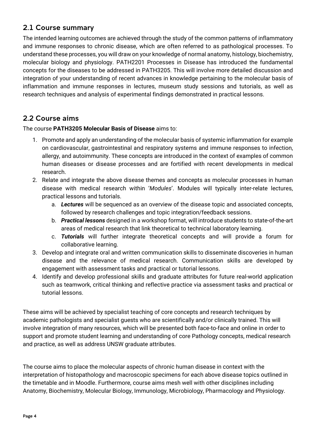### <span id="page-3-0"></span>2.1 Course summary

The intended learning outcomes are achieved through the study of the common patterns of inflammatory and immune responses to chronic disease, which are often referred to as pathological processes. To understand these processes, you will draw on your knowledge of normal anatomy, histology, biochemistry, molecular biology and physiology. PATH2201 Processes in Disease has introduced the fundamental concepts for the diseases to be addressed in PATH3205. This will involve more detailed discussion and integration of your understanding of recent advances in knowledge pertaining to the molecular basis of inflammation and immune responses in lectures, museum study sessions and tutorials, as well as research techniques and analysis of experimental findings demonstrated in practical lessons.

### <span id="page-3-1"></span>2.2 Course aims

The course **PATH3205 Molecular Basis of Disease** aims to:

- 1. Promote and apply an understanding of the molecular basis of systemic inflammation for example on cardiovascular, gastrointestinal and respiratory systems and immune responses to infection, allergy, and autoimmunity. These concepts are introduced in the context of examples of common human diseases or disease processes and are fortified with recent developments in medical research.
- 2. Relate and integrate the above disease themes and concepts as molecular processes in human disease with medical research within '*Modules*'. Modules will typically inter-relate lectures, practical lessons and tutorials.
	- a. *Lectures* will be sequenced as an overview of the disease topic and associated concepts, followed by research challenges and topic integration/feedback sessions.
	- b. *Practical lessons* designed in a workshop format, will introduce students to state-of-the-art areas of medical research that link theoretical to technical laboratory learning.
	- c. *Tutorials* will further integrate theoretical concepts and will provide a forum for collaborative learning.
- 3. Develop and integrate oral and written communication skills to disseminate discoveries in human disease and the relevance of medical research. Communication skills are developed by engagement with assessment tasks and practical or tutorial lessons.
- 4. Identify and develop professional skills and graduate attributes for future real-world application such as teamwork, critical thinking and reflective practice via assessment tasks and practical or tutorial lessons.

These aims will be achieved by specialist teaching of core concepts and research techniques by academic pathologists and specialist guests who are scientifically and/or clinically trained. This will involve integration of many resources, which will be presented both face-to-face and online in order to support and promote student learning and understanding of core Pathology concepts, medical research and practice, as well as address UNSW graduate attributes.

The course aims to place the molecular aspects of chronic human disease in context with the interpretation of histopathology and macroscopic specimens for each above disease topics outlined in the timetable and in Moodle. Furthermore, course aims mesh well with other disciplines including Anatomy, Biochemistry, Molecular Biology, Immunology, Microbiology, Pharmacology and Physiology.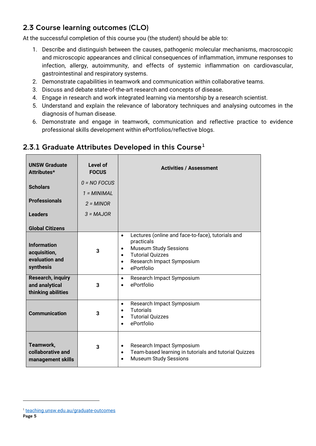# <span id="page-4-0"></span>2.3 Course learning outcomes (CLO)

At the successful completion of this course you (the student) should be able to:

- 1. Describe and distinguish between the causes, pathogenic molecular mechanisms, macroscopic and microscopic appearances and clinical consequences of inflammation, immune responses to infection, allergy, autoimmunity, and effects of systemic inflammation on cardiovascular, gastrointestinal and respiratory systems.
- 2. Demonstrate capabilities in teamwork and communication within collaborative teams.
- 3. Discuss and debate state-of-the-art research and concepts of disease.
- 4. Engage in research and work integrated learning via mentorship by a research scientist.
- 5. Understand and explain the relevance of laboratory techniques and analysing outcomes in the diagnosis of human disease.
- 6. Demonstrate and engage in teamwork, communication and reflective practice to evidence professional skills development within ePortfolios/reflective blogs.

| <b>UNSW Graduate</b><br>Attributes*                                                         | Level of<br><b>FOCUS</b>        | <b>Activities / Assessment</b>                                                                                                                                                                                                         |
|---------------------------------------------------------------------------------------------|---------------------------------|----------------------------------------------------------------------------------------------------------------------------------------------------------------------------------------------------------------------------------------|
| <b>Scholars</b><br><b>Professionals</b>                                                     | $0 = NO$ FOCUS<br>$1 = MINIMAL$ |                                                                                                                                                                                                                                        |
| <b>Leaders</b>                                                                              | $2 = MINOR$<br>$3 = MAJOR$      |                                                                                                                                                                                                                                        |
| <b>Global Citizens</b><br><b>Information</b><br>acquisition,<br>evaluation and<br>synthesis | 3                               | Lectures (online and face-to-face), tutorials and<br>$\bullet$<br>practicals<br><b>Museum Study Sessions</b><br>$\bullet$<br><b>Tutorial Quizzes</b><br>$\bullet$<br>Research Impact Symposium<br>$\bullet$<br>ePortfolio<br>$\bullet$ |
| <b>Research, inquiry</b><br>and analytical<br>thinking abilities                            | 3                               | Research Impact Symposium<br>$\bullet$<br>ePortfolio                                                                                                                                                                                   |
| <b>Communication</b>                                                                        | 3                               | Research Impact Symposium<br>$\bullet$<br><b>Tutorials</b><br>$\bullet$<br><b>Tutorial Quizzes</b><br>$\bullet$<br>ePortfolio                                                                                                          |
| Teamwork,<br>collaborative and<br>management skills                                         | 3                               | Research Impact Symposium<br>$\bullet$<br>Team-based learning in tutorials and tutorial Quizzes<br>$\bullet$<br><b>Museum Study Sessions</b><br>$\bullet$                                                                              |

### <span id="page-4-1"></span>2.3.[1](#page-4-2) Graduate Attributes Developed in this Course<sup>1</sup>

<span id="page-4-2"></span><sup>1</sup> [teaching.unsw.edu.au/graduate-outcomes](https://teaching.unsw.edu.au/graduate-outcomes)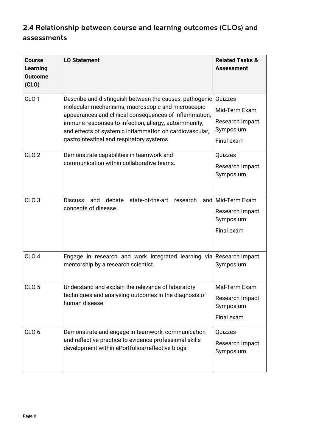# <span id="page-5-0"></span>2.4 Relationship between course and learning outcomes (CLOs) and assessments

| <b>Course</b><br>Learning<br><b>Outcome</b><br>(CLO) | <b>LO Statement</b>                                                                                                                                                                                                                                                                                                                     | <b>Related Tasks &amp;</b><br><b>Assessment</b>                        |
|------------------------------------------------------|-----------------------------------------------------------------------------------------------------------------------------------------------------------------------------------------------------------------------------------------------------------------------------------------------------------------------------------------|------------------------------------------------------------------------|
| CLO <sub>1</sub>                                     | Describe and distinguish between the causes, pathogenic<br>molecular mechanisms, macroscopic and microscopic<br>appearances and clinical consequences of inflammation,<br>immune responses to infection, allergy, autoimmunity,<br>and effects of systemic inflammation on cardiovascular,<br>gastrointestinal and respiratory systems. | Quizzes<br>Mid-Term Exam<br>Research Impact<br>Symposium<br>Final exam |
| CLO <sub>2</sub>                                     | Demonstrate capabilities in teamwork and<br>communication within collaborative teams.                                                                                                                                                                                                                                                   | Quizzes<br>Research Impact<br>Symposium                                |
| CLO <sub>3</sub>                                     | state-of-the-art<br>debate<br>research<br><b>Discuss</b><br>and<br>concepts of disease.                                                                                                                                                                                                                                                 | and Mid-Term Exam<br>Research Impact<br>Symposium<br>Final exam        |
| CLO <sub>4</sub>                                     | Engage in research and work integrated learning via Research Impact<br>mentorship by a research scientist.                                                                                                                                                                                                                              | Symposium                                                              |
| CLO <sub>5</sub>                                     | Understand and explain the relevance of laboratory<br>techniques and analysing outcomes in the diagnosis of<br>human disease.                                                                                                                                                                                                           | Mid-Term Exam<br>Research Impact<br>Symposium<br>Final exam            |
| CLO <sub>6</sub>                                     | Demonstrate and engage in teamwork, communication<br>and reflective practice to evidence professional skills<br>development within ePortfolios/reflective blogs.                                                                                                                                                                        | Quizzes<br>Research Impact<br>Symposium                                |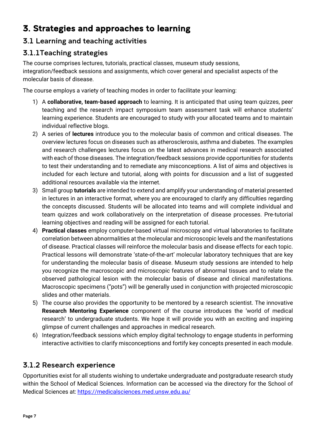# <span id="page-6-0"></span>3. Strategies and approaches to learning

# <span id="page-6-1"></span>3.1 Learning and teaching activities

# <span id="page-6-2"></span>3.1.1Teaching strategies

The course comprises lectures, tutorials, practical classes, museum study sessions, integration/feedback sessions and assignments, which cover general and specialist aspects of the molecular basis of disease.

The course employs a variety of teaching modes in order to facilitate your learning:

- 1) A **collaborative, team-based approach** to learning. It is anticipated that using team quizzes, peer teaching and the research impact symposium team assessment task will enhance students' learning experience. Students are encouraged to study with your allocated teams and to maintain individual reflective blogs.
- 2) A series of **lectures** introduce you to the molecular basis of common and critical diseases. The overview lectures focus on diseases such as atherosclerosis, asthma and diabetes. The examples and research challenges lectures focus on the latest advances in medical research associated with each of those diseases. The integration/feedback sessions provide opportunities for students to test their understanding and to remediate any misconceptions. A list of aims and objectives is included for each lecture and tutorial, along with points for discussion and a list of suggested additional resources available via the internet.
- 3) Small group **tutorials** are intended to extend and amplify your understanding of material presented in lectures in an interactive format, where you are encouraged to clarify any difficulties regarding the concepts discussed. Students will be allocated into teams and will complete individual and team quizzes and work collaboratively on the interpretation of disease processes. Pre-tutorial learning objectives and reading will be assigned for each tutorial.
- 4) **Practical classes** employ computer-based virtual microscopy and virtual laboratories to facilitate correlation between abnormalities at the molecular and microscopic levels and the manifestations of disease. Practical classes will reinforce the molecular basis and disease effects for each topic. Practical lessons will demonstrate 'state-of-the-art' molecular laboratory techniques that are key for understanding the molecular basis of disease. Museum study sessions are intended to help you recognize the macroscopic and microscopic features of abnormal tissues and to relate the observed pathological lesion with the molecular basis of disease and clinical manifestations. Macroscopic specimens ("pots") will be generally used in conjunction with projected microscopic slides and other materials.
- 5) The course also provides the opportunity to be mentored by a research scientist. The innovative **Research Mentoring Experience** component of the course introduces the 'world of medical research' to undergraduate students. We hope it will provide you with an exciting and inspiring glimpse of current challenges and approaches in medical research.
- 6) Integration/feedback sessions which employ digital technology to engage students in performing interactive activities to clarify misconceptions and fortify key concepts presented in each module.

# <span id="page-6-3"></span>3.1.2 Research experience

Opportunities exist for all students wishing to undertake undergraduate and postgraduate research study within the School of Medical Sciences. Information can be accessed via the directory for the School of Medical Sciences at: <https://medicalsciences.med.unsw.edu.au/>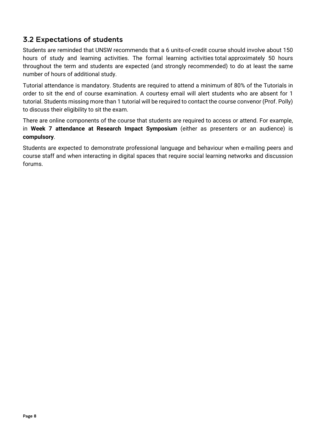# <span id="page-7-0"></span>3.2 Expectations of students

Students are reminded that UNSW recommends that a 6 units-of-credit course should involve about 150 hours of study and learning activities. The formal learning activities total approximately 50 hours throughout the term and students are expected (and strongly recommended) to do at least the same number of hours of additional study.

Tutorial attendance is mandatory. Students are required to attend a minimum of 80% of the Tutorials in order to sit the end of course examination. A courtesy email will alert students who are absent for 1 tutorial. Students missing more than 1 tutorial will be required to contact the course convenor (Prof. Polly) to discuss their eligibility to sit the exam.

There are online components of the course that students are required to access or attend. For example, in **Week 7 attendance at Research Impact Symposium** (either as presenters or an audience) is **compulsory**.

Students are expected to demonstrate professional language and behaviour when e-mailing peers and course staff and when interacting in digital spaces that require social learning networks and discussion forums.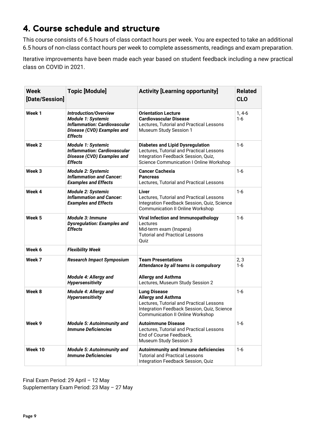# <span id="page-8-0"></span>4. Course schedule and structure

This course consists of 6.5 hours of class contact hours per week. You are expected to take an additional 6.5 hours of non-class contact hours per week to complete assessments, readings and exam preparation.

Iterative improvements have been made each year based on student feedback including a new practical class on COVID in 2021.

| <b>Week</b><br>[Date/Session] | <b>Topic [Module]</b>                                                                                                              | <b>Activity [Learning opportunity]</b>                                                                                                                                                 | <b>Related</b><br><b>CLO</b> |
|-------------------------------|------------------------------------------------------------------------------------------------------------------------------------|----------------------------------------------------------------------------------------------------------------------------------------------------------------------------------------|------------------------------|
| Week 1                        | <b>Introduction/Overview</b><br>Module 1: Systemic<br><b>Inflammation: Cardiovascular</b><br>Disease (CVD) Examples and<br>Effects | <b>Orientation Lecture</b><br><b>Cardiovascular Disease</b><br>Lectures, Tutorial and Practical Lessons<br>Museum Study Session 1                                                      | $1,4-6$<br>1-6               |
| Week 2                        | <b>Module 1: Systemic</b><br><b>Inflammation: Cardiovascular</b><br>Disease (CVD) Examples and<br>Effects                          | <b>Diabetes and Lipid Dysregulation</b><br>Lectures, Tutorial and Practical Lessons<br>Integration Feedback Session, Quiz,<br><b>Science Communication I Online Workshop</b>           | 1-6                          |
| Week 3                        | <b>Module 2: Systemic</b><br><b>Inflammation and Cancer:</b><br><b>Examples and Effects</b>                                        | <b>Cancer Cachexia</b><br><b>Pancreas</b><br>Lectures, Tutorial and Practical Lessons                                                                                                  | $1-6$                        |
| Week 4                        | <b>Module 2: Systemic</b><br><b>Inflammation and Cancer:</b><br><b>Examples and Effects</b>                                        | Liver<br>Lectures, Tutorial and Practical Lessons<br>Integration Feedback Session, Quiz, Science<br><b>Communication II Online Workshop</b>                                            | $1-6$                        |
| Week 5                        | Module 3: Immune<br><b>Dysregulation: Examples and</b><br>Effects                                                                  | Viral Infection and Immunopathology<br>Lectures<br>Mid-term exam (Inspera)<br><b>Tutorial and Practical Lessons</b><br>Quiz                                                            | 1-6                          |
| Week 6                        | <b>Flexibility Week</b>                                                                                                            |                                                                                                                                                                                        |                              |
| Week 7                        | <b>Research Impact Symposium</b><br><b>Module 4: Allergy and</b><br><b>Hypersensitivity</b>                                        | <b>Team Presentations</b><br>Attendance by all teams is compulsory<br><b>Allergy and Asthma</b><br>Lectures, Museum Study Session 2                                                    | 2, 3<br>1-6                  |
| Week 8                        | Module 4: Allergy and<br><b>Hypersensitivity</b>                                                                                   | <b>Lung Disease</b><br><b>Allergy and Asthma</b><br>Lectures, Tutorial and Practical Lessons<br>Integration Feedback Session, Quiz, Science<br><b>Communication II Online Workshop</b> | $1 - 6$                      |
| Week 9                        | <b>Module 5: Autoimmunity and</b><br><b>Immune Deficiencies</b>                                                                    | <b>Autoimmune Disease</b><br>Lectures, Tutorial and Practical Lessons<br>End of Course Feedback,<br>Museum Study Session 3                                                             | $1 - 6$                      |
| Week 10                       | <b>Module 5: Autoimmunity and</b><br><b>Immune Deficiencies</b>                                                                    | Autoimmunity and Immune deficiencies<br><b>Tutorial and Practical Lessons</b><br>Integration Feedback Session, Quiz                                                                    | $1 - 6$                      |

Final Exam Period: 29 April – 12 May Supplementary Exam Period: 23 May – 27 May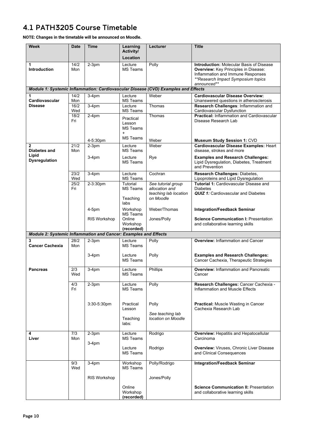# <span id="page-9-0"></span>4.1 PATH3205 Course Timetable

**NOTE: Changes in the timetable will be announced on Moodle.** 

| Week                                                             | Date        | <b>Time</b>         | Learning<br>Activity/                         | Lecturer                                                                           | <b>Title</b>                                                                                                                                                                      |
|------------------------------------------------------------------|-------------|---------------------|-----------------------------------------------|------------------------------------------------------------------------------------|-----------------------------------------------------------------------------------------------------------------------------------------------------------------------------------|
|                                                                  |             |                     | Location                                      |                                                                                    |                                                                                                                                                                                   |
| 1<br><b>Introduction</b>                                         | 14/2<br>Mon | $2-3$ pm            | Lecture<br><b>MS Teams</b>                    | Polly                                                                              | <b>Introduction: Molecular Basis of Disease</b><br>Overview: Key Principles in Disease:<br>Inflammation and Immune Responses<br>**Research Impact Symposium topics<br>announced** |
|                                                                  |             |                     |                                               | Module 1: Systemic Inflammation: Cardiovascular Disease (CVD) Examples and Effects |                                                                                                                                                                                   |
| 1<br>Cardiovascular                                              | 14/2        | $3-4pm$             | Lecture                                       | Weber                                                                              | <b>Cardiovascular Disease Overview:</b>                                                                                                                                           |
| <b>Disease</b>                                                   | Mon<br>16/2 | $3-4$ pm            | <b>MS Teams</b><br>Lecture                    | Thomas                                                                             | Unanswered questions in atherosclerosis<br>Research Challenges: Inflammation and                                                                                                  |
|                                                                  | Wed         |                     | <b>MS Teams</b>                               |                                                                                    | Cardiovascular Dysfunction                                                                                                                                                        |
|                                                                  | 18/2<br>Fri | $2-4pm$             | Practical<br>Lesson<br><b>MS Teams</b><br>$+$ | Thomas                                                                             | <b>Practical: Inflammation and Cardiovascular</b><br>Disease Research Lab                                                                                                         |
|                                                                  |             | 4-5:30pm            | <b>MS Teams</b>                               | Weber                                                                              | <b>Museum Study Session 1: CVD</b>                                                                                                                                                |
| $\overline{2}$<br>Diabetes and                                   | 21/2<br>Mon | $2-3$ pm            | Lecture<br><b>MS Teams</b>                    | Weber                                                                              | Cardiovascular Disease Examples: Heart<br>disease, strokes and more                                                                                                               |
| Lipid<br><b>Dysregulation</b>                                    |             | $3-4pm$             | Lecture<br><b>MS Teams</b>                    | Rye                                                                                | <b>Examples and Research Challenges:</b><br>Lipid Dysregulation, Diabetes, Treatment<br>and Prevention                                                                            |
|                                                                  | 23/2<br>Wed | $3-4pm$             | Lecture<br><b>MS Teams</b>                    | Cochran                                                                            | Research Challenges: Diabetes,<br>Lipoproteins and Lipid Dysregulation                                                                                                            |
|                                                                  | 25/2<br>Fri | 2-3:30pm            | Tutorial<br><b>MS Teams</b>                   | See tutorial group<br>allocation and<br>teaching lab location                      | <b>Tutorial 1: Cardiovascular Disease and</b><br><b>Diabetes</b><br><b>QUIZ 1:</b> Cardiovascular and Diabetes                                                                    |
|                                                                  |             |                     | Teaching<br>labs                              | on Moodle                                                                          |                                                                                                                                                                                   |
|                                                                  |             | $4-5$ pm            | Workshop<br><b>MS Teams</b>                   | Weber/Thomas                                                                       | <b>Integration/Feedback Seminar</b>                                                                                                                                               |
|                                                                  |             | RIS Workshop        | Online<br>Workshop                            | Jones/Polly                                                                        | <b>Science Communication I: Presentation</b><br>and collaborative learning skills                                                                                                 |
| Module 2: Systemic Inflammation and Cancer: Examples and Effects |             |                     | (recorded)                                    |                                                                                    |                                                                                                                                                                                   |
| 3                                                                | 28/2        | $2-3$ pm            | Lecture                                       | Polly                                                                              | <b>Overview: Inflammation and Cancer</b>                                                                                                                                          |
| <b>Cancer Cachexia</b>                                           | Mon         |                     | MS Teams                                      |                                                                                    |                                                                                                                                                                                   |
|                                                                  |             | $3-4pm$             | Lecture<br><b>MS Teams</b>                    | Polly                                                                              | <b>Examples and Research Challenges:</b><br>Cancer Cachexia, Therapeutic Strategies                                                                                               |
| <b>Pancreas</b>                                                  | 2/3<br>Wed  | $3-4pm$             | Lecture<br><b>MS Teams</b>                    | Phillips                                                                           | <b>Overview: Inflammation and Pancreatic</b><br>Cancer                                                                                                                            |
|                                                                  | 4/3<br>Fri  | $2-3pm$             | Lecture<br><b>MS Teams</b>                    | Polly                                                                              | Research Challenges: Cancer Cachexia -<br>Inflammation and Muscle Effects                                                                                                         |
|                                                                  |             | 3:30-5:30pm         | Practical<br>Lesson                           | Polly                                                                              | <b>Practical:</b> Muscle Wasting in Cancer<br>Cachexia Research Lab                                                                                                               |
|                                                                  |             |                     | Teaching<br>labs:                             | See teaching lab<br>location on Moodle                                             |                                                                                                                                                                                   |
| 4<br>Liver                                                       | 7/3<br>Mon  | $2-3$ pm<br>$3-4pm$ | Lecture<br><b>MS Teams</b>                    | Rodrigo                                                                            | <b>Overview: Hepatitis and Hepatocellular</b><br>Carcinoma                                                                                                                        |
|                                                                  |             |                     | Lecture<br><b>MS Teams</b>                    | Rodrigo                                                                            | <b>Overview: Viruses, Chronic Liver Disease</b><br>and Clinical Consequences                                                                                                      |
|                                                                  | 9/3<br>Wed  | $3-4pm$             | Workshop<br>MS Teams                          | Polly/Rodrigo                                                                      | <b>Integration/Feedback Seminar</b>                                                                                                                                               |
|                                                                  |             | RIS Workshop        |                                               | Jones/Polly                                                                        |                                                                                                                                                                                   |
|                                                                  |             |                     | Online<br>Workshop<br>(recorded)              |                                                                                    | <b>Science Communication II: Presentation</b><br>and collaborative learning skills                                                                                                |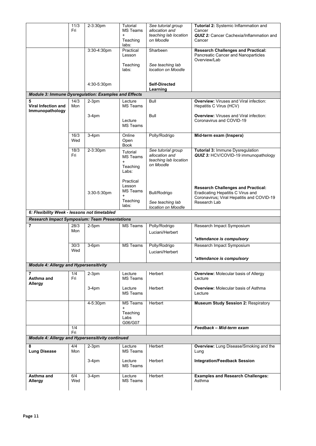|                                                                              | 11/3<br>Fri | 2-3:30pm    | Tutorial<br><b>MS Teams</b><br>$\ddot{}$<br>Teaching                 | See tutorial group<br>allocation and<br>teaching lab location<br>on Moodle | Tutorial 2: Systemic Inflammation and<br>Cancer<br><b>QUIZ 2:</b> Cancer Cachexia/Inflammation and<br>Cancer                                |
|------------------------------------------------------------------------------|-------------|-------------|----------------------------------------------------------------------|----------------------------------------------------------------------------|---------------------------------------------------------------------------------------------------------------------------------------------|
|                                                                              |             | 3:30-4:30pm | labs:<br>Practical<br>Lesson                                         | Sharbeen                                                                   | <b>Research Challenges and Practical:</b><br>Pancreatic Cancer and Nanoparticles                                                            |
|                                                                              |             |             | Teaching<br>labs:                                                    | See teaching lab<br>location on Moodle                                     | Overview/Lab                                                                                                                                |
|                                                                              |             | 4:30-5:30pm |                                                                      | <b>Self-Directed</b><br>Learning                                           |                                                                                                                                             |
| <b>Module 3: Immune Dysregulation: Examples and Effects</b>                  |             |             |                                                                      |                                                                            |                                                                                                                                             |
| 5<br><b>Viral Infection and</b><br>Immunopathology                           | 14/3<br>Mon | $2-3$ pm    | Lecture<br><b>MS Teams</b>                                           | Bull                                                                       | <b>Overview:</b> Viruses and Viral infection:<br>Hepatitis C Virus (HCV)                                                                    |
|                                                                              |             | $3-4pm$     | Lecture<br><b>MS Teams</b>                                           | Bull                                                                       | <b>Overview:</b> Viruses and Viral infection:<br>Coronavirus and COVID-19                                                                   |
|                                                                              | 16/3<br>Wed | $3-4pm$     | Online<br>Open<br>Book                                               | Polly/Rodrigo                                                              | Mid-term exam (Inspera)                                                                                                                     |
|                                                                              | 18/3<br>Fri | 2-3:30pm    | Tutorial<br><b>MS Teams</b><br>$\ddot{}$<br>Teaching                 | See tutorial group<br>allocation and<br>teaching lab location<br>on Moodle | Tutorial 3: Immune Dysregulation<br>QUIZ 3: HCV/COVID-19 immunopathology                                                                    |
|                                                                              |             | 3:30-5:30pm | Labs:<br>Practical<br>Lesson<br><b>MS Teams</b><br>Teaching<br>labs: | <b>Bull/Rodrigo</b><br>See teaching lab                                    | <b>Research Challenges and Practical:</b><br>Eradicating Hepatitis C Virus and<br>Coronavirus; Viral Hepatitis and COVID-19<br>Research Lab |
|                                                                              |             |             |                                                                      | location on Moodle                                                         |                                                                                                                                             |
| 6: Flexibility Week - lessons not timetabled                                 |             |             |                                                                      |                                                                            |                                                                                                                                             |
|                                                                              |             |             |                                                                      |                                                                            |                                                                                                                                             |
| <b>Research Impact Symposium: Team Presentations</b><br>$\overline{7}$       | 28/3<br>Mon | $2-5pm$     | <b>MS Teams</b>                                                      | Polly/Rodrigo<br>Luciani/Herbert                                           | Research Impact Symposium                                                                                                                   |
|                                                                              |             |             |                                                                      |                                                                            | *attendance is compulsory                                                                                                                   |
|                                                                              | 30/3<br>Wed | $3-6$ pm    | <b>MS Teams</b>                                                      | Polly/Rodrigo<br>Luciani/Herbert                                           | Research Impact Symposium                                                                                                                   |
|                                                                              |             |             |                                                                      |                                                                            | *attendance is compulsory                                                                                                                   |
| <b>Module 4: Allergy and Hypersensitivity</b>                                |             |             |                                                                      |                                                                            |                                                                                                                                             |
| 7<br>Asthma and<br>Allergy                                                   | 1/4<br>Fri  | $2-3$ pm    | Lecture<br><b>MS Teams</b>                                           | Herbert                                                                    | <b>Overview: Molecular basis of Allergy</b><br>Lecture                                                                                      |
|                                                                              |             | $3-4pm$     | Lecture<br><b>MS Teams</b>                                           | Herbert                                                                    | <b>Overview: Molecular basis of Asthma</b><br>Lecture                                                                                       |
|                                                                              |             | 4-5:30pm    | <b>MS Teams</b><br>$\ddot{}$                                         | Herbert                                                                    | <b>Museum Study Session 2: Respiratory</b>                                                                                                  |
|                                                                              |             |             | Teaching<br>Labs<br>G06/G07                                          |                                                                            |                                                                                                                                             |
|                                                                              | 1/4         |             |                                                                      |                                                                            | Feedback - Mid-term exam                                                                                                                    |
|                                                                              | Fri         |             |                                                                      |                                                                            |                                                                                                                                             |
| Module 4: Allergy and Hypersensitivity continued<br>8<br><b>Lung Disease</b> | 4/4<br>Mon  | $2-3$ pm    | Lecture<br><b>MS Teams</b>                                           | Herbert                                                                    | Overview: Lung Disease/Smoking and the<br>Lung                                                                                              |
|                                                                              |             | $3-4pm$     | Lecture<br><b>MS Teams</b>                                           | Herbert                                                                    | <b>Integration/Feedback Session</b>                                                                                                         |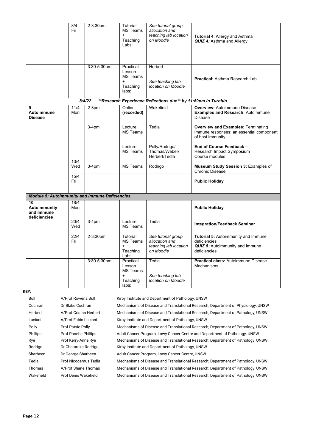|                                                       | 8/4<br>Fri  | 2-3:30pm    | Tutorial<br><b>MS Teams</b><br>$\ddot{}$<br>Teaching<br>Labs:            | See tutorial group<br>allocation and<br>teaching lab location<br>on Moodle | <b>Tutorial 4: Allergy and Asthma</b><br><b>QUIZ 4: Asthma and Allergy</b>                                    |
|-------------------------------------------------------|-------------|-------------|--------------------------------------------------------------------------|----------------------------------------------------------------------------|---------------------------------------------------------------------------------------------------------------|
|                                                       |             | 3:30-5:30pm | Practical<br>Lesson<br><b>MS Teams</b><br>$\ddot{}$<br>Teaching<br>labs: | Herbert<br>See teaching lab<br>location on Moodle                          | <b>Practical: Asthma Research Lab</b>                                                                         |
|                                                       |             | 8/4/22      |                                                                          | **Research Experience Reflections due** by 11:59pm in Turnitin             |                                                                                                               |
| 9<br>Autoimmune<br><b>Disease</b>                     | 11/4<br>Mon | $2-3pm$     | Online<br>(recorded)                                                     | Wakefield                                                                  | <b>Overview: Autoimmune Disease</b><br><b>Examples and Research: Autoimmune</b><br><b>Disease</b>             |
|                                                       |             | $3-4pm$     | Lecture<br><b>MS Teams</b>                                               | Tedla                                                                      | <b>Overview and Examples: Terminating</b><br>immune responses: an essential component<br>of host immunity     |
|                                                       |             |             | Lecture<br><b>MS Teams</b>                                               | Polly/Rodrigo/<br>Thomas/Weber/<br>Herbert/Tedla                           | End of Course Feedback -<br>Research Impact Symposium<br>Course modules                                       |
|                                                       | 13/4<br>Wed | $3-4pm$     | <b>MS Teams</b>                                                          | Rodrigo                                                                    | <b>Museum Study Session 3: Examples of</b><br>Chronic Disease                                                 |
|                                                       | 15/4<br>Fri |             |                                                                          |                                                                            | <b>Public Holiday</b>                                                                                         |
| <b>Module 5: Autoimmunity and Immune Deficiencies</b> |             |             |                                                                          |                                                                            |                                                                                                               |
| 10<br>Autoimmunity<br>and Immune<br>deficiencies      | 18/4<br>Mon |             |                                                                          |                                                                            | <b>Public Holiday</b>                                                                                         |
|                                                       | 20/4<br>Wed | $3-4pm$     | Lecture<br>MS Teams                                                      | Tedla                                                                      | <b>Integration/Feedback Seminar</b>                                                                           |
|                                                       | 22/4<br>Fri | 2-3:30pm    | Tutorial<br><b>MS Teams</b><br>$\ddot{}$<br>Teaching<br>Labs:            | See tutorial group<br>allocation and<br>teaching lab location<br>on Moodle | Tutorial 5: Autoimmunity and Immune<br>deficiencies<br><b>QUIZ 5:</b> Autoimmunity and Immune<br>deficiencies |
|                                                       |             | 3:30-5:30pm | Practical<br>Lesson<br>MS Teams<br>$\ddot{}$<br>Teaching<br>labs:        | Tedla<br>See teaching lab<br>location on Moodle                            | <b>Practical class: Autoimmune Disease</b><br><b>Mechanisms</b>                                               |

#### **KEY:**

| Bull      | A/Prof Rowena Bull       | Kirby Institute and Department of Pathology, UNSW                                |
|-----------|--------------------------|----------------------------------------------------------------------------------|
| Cochran   | Dr Blake Cochran         | Mechanisms of Disease and Translational Research; Department of Physiology, UNSW |
| Herbert   | A/Prof Cristan Herbert   | Mechanisms of Disease and Translational Research; Department of Pathology, UNSW  |
| Luciani   | A/Prof Fabio Luciani     | Kirby Institute and Department of Pathology, UNSW                                |
| Polly     | <b>Prof Patsie Polly</b> | Mechanisms of Disease and Translational Research; Department of Pathology, UNSW  |
| Phillips  | Prof Phoebe Phillips     | Adult Cancer Program, Lowy Cancer Centre and Department of Pathology, UNSW       |
| Rye       | Prof Kerry-Anne Rye      | Mechanisms of Disease and Translational Research; Department of Pathology, UNSW  |
| Rodrigo   | Dr Chaturaka Rodrigo     | Kirby Institute and Department of Pathology, UNSW                                |
| Sharbeen  | Dr George Sharbeen       | Adult Cancer Program, Lowy Cancer Centre, UNSW                                   |
| Tedla     | Prof Nicodemus Tedla     | Mechanisms of Disease and Translational Research; Department of Pathology, UNSW  |
| Thomas    | A/Prof Shane Thomas      | Mechanisms of Disease and Translational Research; Department of Pathology, UNSW  |
| Wakefield | Prof Denis Wakefield     | Mechanisms of Disease and Translational Research; Department of Pathology, UNSW  |
|           |                          |                                                                                  |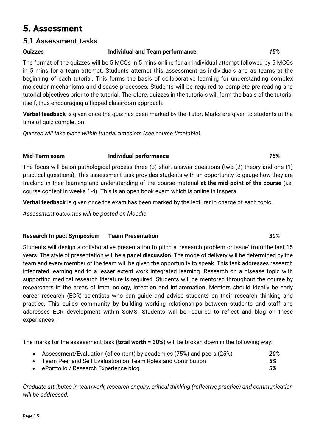# <span id="page-12-0"></span>5. Assessment

#### <span id="page-12-1"></span>5.1 Assessment tasks

#### **Quizzes Individual and Team performance** *15%*

The format of the quizzes will be 5 MCQs in 5 mins online for an individual attempt followed by 5 MCQs in 5 mins for a team attempt. Students attempt this assessment as individuals and as teams at the beginning of each tutorial. This forms the basis of collaborative learning for understanding complex molecular mechanisms and disease processes. Students will be required to complete pre-reading and tutorial objectives prior to the tutorial. Therefore, quizzes in the tutorials will form the basis of the tutorial itself, thus encouraging a flipped classroom approach.

**Verbal feedback** is given once the quiz has been marked by the Tutor. Marks are given to students at the time of quiz completion

*Quizzes will take place within tutorial timeslots (see course timetable).*

#### **Mid-Term exam Individual performance** *15%*

The focus will be on pathological process three (3) short answer questions (two (2) theory and one (1) practical questions). This assessment task provides students with an opportunity to gauge how they are tracking in their learning and understanding of the course material **at the mid-point of the course** (i.e. course content in weeks 1-4). This is an open book exam which is online in Inspera.

**Verbal feedback** is given once the exam has been marked by the lecturer in charge of each topic.

*Assessment outcomes will be posted on Moodle*

#### **Research Impact Symposium Team Presentation** *30%*

Students will design a collaborative presentation to pitch a 'research problem or issue' from the last 15 years. The style of presentation will be a **panel discussion**. The mode of delivery will be determined by the team and every member of the team will be given the opportunity to speak. This task addresses research integrated learning and to a lesser extent work integrated learning. Research on a disease topic with supporting medical research literature is required. Students will be mentored throughout the course by researchers in the areas of immunology, infection and inflammation. Mentors should ideally be early career research (ECR) scientists who can guide and advise students on their research thinking and practice. This builds community by building working relationships between students and staff and addresses ECR development within SoMS. Students will be required to reflect and blog on these experiences.

The marks for the assessment task **(total worth = 30%**) will be broken down in the following way:

- Assessment/Evaluation (of content) by academics (75%) and peers (25%) *20%*
- Team Peer and Self Evaluation on Team Roles and Contribution *5%*
- ePortfolio / Research Experience blog *5%*

*Graduate attributes in teamwork, research enquiry, critical thinking (reflective practice) and communication will be addressed.*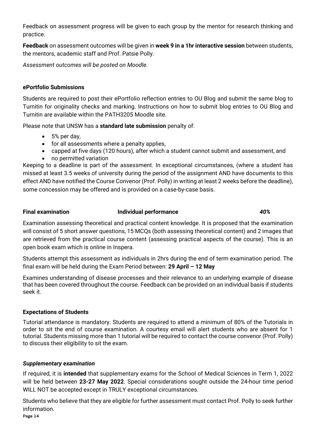Feedback on assessment progress will be given to each group by the mentor for research thinking and practice.

**Feedback** on assessment outcomes will be given in **week 9 in a 1hr interactive session** between students, the mentors, academic staff and Prof. Patsie Polly.

*Assessment outcomes will be posted on Moodle.*

#### **ePortfolio Submissions**

Students are required to post their ePortfolio reflection entries to OU Blog and submit the same blog to Turnitin for originality checks and marking. Instructions on how to submit blog entries to OU Blog and Turnitin are available within the PATH3205 Moodle site.

Please note that UNSW has a **standard late submission** penalty of:

- 5% per day,
- for all assessments where a penalty applies,
- capped at five days (120 hours), after which a student cannot submit and assessment, and
- no permitted variation

Keeping to a deadline is part of the assessment. In exceptional circumstances, (where a student has missed at least 3.5 weeks of university during the period of the assignment AND have documents to this effect AND have notified the Course Convenor (Prof. Polly) in writing at least 2 weeks before the deadline), some concession may be offered and is provided on a case-by-case basis.

#### **Final examination Individual performance** *40%*

Examination assessing theoretical and practical content knowledge. It is proposed that the examination will consist of 5 short answer questions, 15 MCQs (both assessing theoretical content) and 2 images that are retrieved from the practical course content (assessing practical aspects of the course). This is an open book exam which is online in Inspera.

Students attempt this assessment as individuals in 2hrs during the end of term examination period. The final exam will be held during the Exam Period between: **29 April – 12 May**

Examines understanding of disease processes and their relevance to an underlying example of disease that has been covered throughout the course. Feedback can be provided on an individual basis if students seek it.

#### **Expectations of Students**

Tutorial attendance is mandatory. Students are required to attend a minimum of 80% of the Tutorials in order to sit the end of course examination. A courtesy email will alert students who are absent for 1 tutorial. Students missing more than 1 tutorial will be required to contact the course convenor (Prof. Polly) to discuss their eligibility to sit the exam.

#### *Supplementary examination*

If required, it is **intended** that supplementary exams for the School of Medical Sciences in Term 1, 2022 will be held between **23-27 May 2022**. Special considerations sought outside the 24-hour time period WILL NOT be accepted except in TRULY exceptional circumstances.

Students who believe that they are eligible for further assessment must contact Prof. Polly to seek further information.

Page 14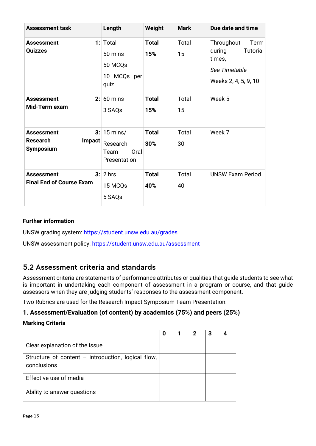| <b>Assessment task</b>                                                          | Length                                                        | Weight              | <b>Mark</b> | Due date and time                                                                                  |
|---------------------------------------------------------------------------------|---------------------------------------------------------------|---------------------|-------------|----------------------------------------------------------------------------------------------------|
| 1:<br>Assessment<br>Quizzes                                                     | Total<br>50 mins<br>50 MCQs<br>10 MCQs per<br>quiz            | Total<br>15%        | Total<br>15 | Throughout<br>Term<br>during<br><b>Tutorial</b><br>times,<br>See Timetable<br>Weeks 2, 4, 5, 9, 10 |
| 2:<br><b>Assessment</b><br>Mid-Term exam                                        | 60 mins<br>3 SAQs                                             | <b>Total</b><br>15% | Total<br>15 | Week 5                                                                                             |
| 3:<br><b>Assessment</b><br><b>Research</b><br><b>Impact</b><br><b>Symposium</b> | $15 \text{ mins}$<br>Research<br>Oral<br>Team<br>Presentation | <b>Total</b><br>30% | Total<br>30 | Week 7                                                                                             |
| 3:<br><b>Assessment</b><br><b>Final End of Course Exam</b>                      | 2 hrs<br>15 MCQs<br>5 SAQs                                    | <b>Total</b><br>40% | Total<br>40 | <b>UNSW Exam Period</b>                                                                            |

#### **Further information**

UNSW grading system:<https://student.unsw.edu.au/grades>

UNSW assessment policy:<https://student.unsw.edu.au/assessment>

### <span id="page-14-0"></span>5.2 Assessment criteria and standards

Assessment criteria are statements of performance attributes or qualities that guide students to see what is important in undertaking each component of assessment in a program or course, and that guide assessors when they are judging students' responses to the assessment component.

Two Rubrics are used for the Research Impact Symposium Team Presentation:

#### **1. Assessment/Evaluation (of content) by academics (75%) and peers (25%)**

#### **Marking Criteria**

|                                                                   | O | 2 | 3 |  |
|-------------------------------------------------------------------|---|---|---|--|
| Clear explanation of the issue                                    |   |   |   |  |
| Structure of content - introduction, logical flow,<br>conclusions |   |   |   |  |
| Effective use of media                                            |   |   |   |  |
| Ability to answer questions                                       |   |   |   |  |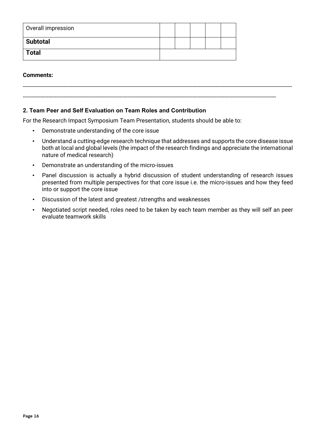<span id="page-15-0"></span>

| Overall impression |  |  |  |
|--------------------|--|--|--|
| <b>Subtotal</b>    |  |  |  |
| <b>Total</b>       |  |  |  |

#### <span id="page-15-1"></span>**Comments:**

#### **2. Team Peer and Self Evaluation on Team Roles and Contribution**

For the Research Impact Symposium Team Presentation, students should be able to:

- Demonstrate understanding of the core issue
- Understand a cutting-edge research technique that addresses and supports the core disease issue both at local and global levels (the impact of the research findings and appreciate the international nature of medical research)

-----------------------------------------------------------------------------------------------------------------------------------------------------------------------

-------------------------------------------------------------------------------------------------------------------------------------------------------------

- Demonstrate an understanding of the micro-issues
- Panel discussion is actually a hybrid discussion of student understanding of research issues presented from multiple perspectives for that core issue i.e. the micro-issues and how they feed into or support the core issue
- Discussion of the latest and greatest /strengths and weaknesses
- Negotiated script needed, roles need to be taken by each team member as they will self an peer evaluate teamwork skills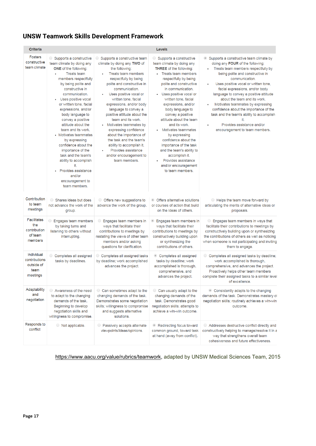# **UNSW Teamwork Skills Development Framework**

| <b>Criteria</b>                                                 |                                                                                                                                                                                                                                                                                                                                                                                                                                                                                                                                                                                        |                                                                                                                                                                                                                                                                                                                                                                                                                                                                                                                                                                | <b>Levels</b>                                                                                                                                                                                                                                                                                                                                                                                                                                                                                                                                                        |                                                                                                                                                                                                                                                                                                                                                                                                                                                                                                                                                |
|-----------------------------------------------------------------|----------------------------------------------------------------------------------------------------------------------------------------------------------------------------------------------------------------------------------------------------------------------------------------------------------------------------------------------------------------------------------------------------------------------------------------------------------------------------------------------------------------------------------------------------------------------------------------|----------------------------------------------------------------------------------------------------------------------------------------------------------------------------------------------------------------------------------------------------------------------------------------------------------------------------------------------------------------------------------------------------------------------------------------------------------------------------------------------------------------------------------------------------------------|----------------------------------------------------------------------------------------------------------------------------------------------------------------------------------------------------------------------------------------------------------------------------------------------------------------------------------------------------------------------------------------------------------------------------------------------------------------------------------------------------------------------------------------------------------------------|------------------------------------------------------------------------------------------------------------------------------------------------------------------------------------------------------------------------------------------------------------------------------------------------------------------------------------------------------------------------------------------------------------------------------------------------------------------------------------------------------------------------------------------------|
| <b>Fosters</b><br>constructive<br>team climate                  | Supports a constructive<br>team climate by doing any<br>ONE of the following:<br><b>Treats team</b><br>$\bullet$<br>members respectfully<br>by being polite and<br>constructive in<br>communication.<br>Uses positive vocal<br>or written tone, facial<br>expressions, and/or<br>body language to<br>convey a positive<br>attitude about the<br>team and its work.<br>• Motivates teammates<br>by expressing<br>confidence about the<br>importance of the<br>task and the team's<br>ability to accomplish<br>it.<br>Provides assistance<br>and/or<br>encouragement to<br>team members. | Supports a constructive team<br>climate by doing any TWO of<br>the following:<br>Treats team members<br>$\bullet$<br>respectfully by being<br>polite and constructive in<br>communication.<br>Uses positive vocal or<br>written tone, facial<br>expressions, and/or body<br>language to convey a<br>positive attitude about the<br>team and its work.<br>Motivates teammates by<br>expressing confidence<br>about the importance of<br>the task and the team's<br>ability to accomplish it.<br>Provides assistance<br>and/or encouragement to<br>team members. | ◯ Supports a constructive<br>team climate by doing any<br><b>THREE</b> of the following:<br>• Treats team members<br>respectfully by being<br>polite and constructive<br>in communication.<br>Uses positive vocal or<br>written tone, facial<br>expressions, and/or<br>body language to<br>convey a positive<br>attitude about the team<br>and its work.<br>Motivates teammates<br>by expressing<br>confidence about the<br>importance of the task<br>and the team's ability to<br>accomplish it.<br>Provides assistance<br>and/or encouragement<br>to team members. | Supports a constructive team climate by<br>$^{\circ}$<br>doing any FOUR of the following:<br>Treats team members respectfully by<br>being polite and constructive in<br>communication.<br>Uses positive vocal or written tone.<br>facial expressions, and/or body<br>language to convey a positive attitude<br>about the team and its work.<br>Motivates teammates by expressing<br>confidence about the importance of the<br>task and the team's ability to accomplish<br>it.<br>Provides assistance and/or<br>encouragement to team members. |
| Contribution<br>to team<br>meetings                             | Shares ideas but does<br>not advance the work of the<br>group.                                                                                                                                                                                                                                                                                                                                                                                                                                                                                                                         | ◯ Offers new suggestions to<br>advance the work of the group.                                                                                                                                                                                                                                                                                                                                                                                                                                                                                                  | © Offers alternative solutions<br>or courses of action that build<br>on the ideas of others.                                                                                                                                                                                                                                                                                                                                                                                                                                                                         | Helps the team move forward by<br>articulating the merits of alternative ideas or<br>proposals.                                                                                                                                                                                                                                                                                                                                                                                                                                                |
| <b>Facilitates</b><br>the<br>contribution<br>of team<br>members | ◯ Engages team members<br>by taking turns and<br>listening to others without<br>interrupting.                                                                                                                                                                                                                                                                                                                                                                                                                                                                                          | $\bigcirc$<br>Engages team members in<br>ways that facilitate their<br>contributions to meetings by<br>restating the views of other team<br>members and/or asking<br>questions for clarification.                                                                                                                                                                                                                                                                                                                                                              | <b>Engages team members in</b><br>ways that facilitate their<br>contributions to meetings by<br>constructively building upon<br>or synthesizing the<br>contributions of others.                                                                                                                                                                                                                                                                                                                                                                                      | Engages team members in ways that<br>$\circ$<br>facilitate their contributions to meetings by<br>constructively building upon or synthesizing<br>the contributions of others as well as noticing<br>when someone is not participating and inviting<br>them to engage.                                                                                                                                                                                                                                                                          |
| Individual<br>contributions<br>outside of<br>team<br>meetings   | Completes all assigned<br>tasks by deadlines.                                                                                                                                                                                                                                                                                                                                                                                                                                                                                                                                          | C Completes all assigned tasks<br>by deadline; work accomplished<br>advances the project.                                                                                                                                                                                                                                                                                                                                                                                                                                                                      | Completes all assigned<br>tasks by deadline; work<br>accomplished is thorough,<br>comprehensive, and<br>advances the project.                                                                                                                                                                                                                                                                                                                                                                                                                                        | Completes all assigned tasks by deadline;<br>work accomplished is thorough,<br>comprehensive, and advances the project.<br>Proactively helps other team members<br>complete their assigned tasks to a similar level<br>of excellence.                                                                                                                                                                                                                                                                                                          |
| Adaptability<br>and<br>negotiation                              | Awareness of the need<br>to adapt to the changing<br>demands of the task.<br>Beginning to develop<br>negotiation skills and<br>willingness to compromise.                                                                                                                                                                                                                                                                                                                                                                                                                              | C Can sometimes adapt to the<br>changing demands of the task.<br>Demonstrates some negotiation<br>skills; willingness to compromise<br>and suggests alternative<br>solutions.                                                                                                                                                                                                                                                                                                                                                                                  | C Can usually adapt to the<br>changing demands of the<br>task. Demonstrates good<br>negotiation skills; attempts to<br>achieve a win-win outcome.                                                                                                                                                                                                                                                                                                                                                                                                                    | © Consistently adapts to the changing<br>demands of the task. Demonstrates mastery of<br>negotiation skills; routinely achieves a win-win<br>outcome.                                                                                                                                                                                                                                                                                                                                                                                          |
| Responds to<br>conflict                                         | ◯ Not applicable.                                                                                                                                                                                                                                                                                                                                                                                                                                                                                                                                                                      | ○ Passively accepts alternate<br>viewpoints/ideas/opinions.                                                                                                                                                                                                                                                                                                                                                                                                                                                                                                    | Redirecting focus toward<br>common ground, toward task<br>at hand (away from conflict).                                                                                                                                                                                                                                                                                                                                                                                                                                                                              | Addresses destructive conflict directly and<br>constructively helping to manage/resolve it in a<br>way that strengthens overall team<br>cohesiveness and future effectiveness.                                                                                                                                                                                                                                                                                                                                                                 |

[https://www.aacu.org/value/rubrics/teamwork,](https://www.aacu.org/value/rubrics/teamwork) adapted by UNSW Medical Sciences Team, 2015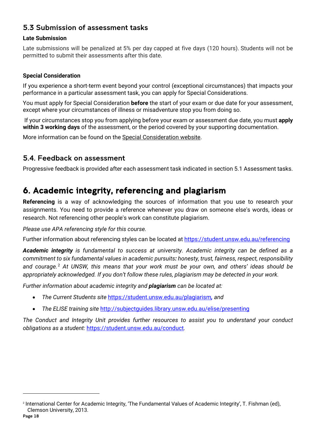# <span id="page-17-0"></span>5.3 Submission of assessment tasks

#### **Late Submission**

Late submissions will be penalized at 5% per day capped at five days (120 hours). Students will not be permitted to submit their assessments after this date.

#### **Special Consideration**

If you experience a short-term event beyond your control (exceptional circumstances) that impacts your performance in a particular assessment task, you can apply for Special Considerations.

You must apply for Special Consideration **before** the start of your exam or due date for your assessment, except where your circumstances of illness or misadventure stop you from doing so.

If your circumstances stop you from applying before your exam or assessment due date, you must **apply within 3 working days** of the assessment, or the period covered by your supporting documentation.

More information can be found on the [Special Consideration website.](https://www.student.unsw.edu.au/special-consideration)

### <span id="page-17-1"></span>5.4. Feedback on assessment

Progressive feedback is provided after each assessment task indicated in section 5.1 Assessment tasks.

# <span id="page-17-2"></span>6. Academic integrity, referencing and plagiarism

**Referencing** is a way of acknowledging the sources of information that you use to research your assignments. You need to provide a reference whenever you draw on someone else's words, ideas or research. Not referencing other people's work can constitute plagiarism.

#### *Please use APA referencing style for this course.*

Further information about referencing styles can be located at<https://student.unsw.edu.au/referencing>

*Academic integrity is fundamental to success at university. Academic integrity can be defined as a commitment to six fundamental values in academic pursuits: honesty, trust, fairness, respect, responsibility and courage.* [2](#page-17-3) *At UNSW, this means that your work must be your own, and others' ideas should be appropriately acknowledged. If you don't follow these rules, plagiarism may be detected in your work.* 

*Further information about academic integrity and plagiarism can be located at:*

- *The Current Students site* <https://student.unsw.edu.au/plagiarism>*, and*
- *The ELISE training site* <http://subjectguides.library.unsw.edu.au/elise/presenting>

*The Conduct and Integrity Unit provides further resources to assist you to understand your conduct obligations as a student:* <https://student.unsw.edu.au/conduct>*.*

<span id="page-17-3"></span><sup>2</sup> International Center for Academic Integrity, 'The Fundamental Values of Academic Integrity', T. Fishman (ed), Clemson University, 2013.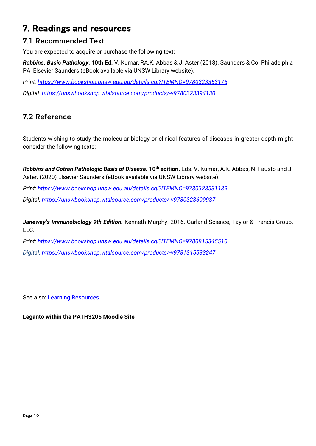# <span id="page-18-0"></span>7. Readings and resources

# <span id="page-18-1"></span>7.1 Recommended Text

You are expected to acquire or purchase the following text:

*Robbins. Basic Pathology***, 10th Ed.** V. Kumar, RA.K. Abbas & J. Aster (2018). Saunders & Co. Philadelphia PA; Elsevier Saunders (eBook available via UNSW Library website).

*Print:<https://www.bookshop.unsw.edu.au/details.cgi?ITEMNO=9780323353175> Digital:<https://unswbookshop.vitalsource.com/products/-v9780323394130>*

# <span id="page-18-2"></span>7.2 Reference

Students wishing to study the molecular biology or clinical features of diseases in greater depth might consider the following texts:

*Robbins and Cotran Pathologic Basis of Disease*. 10<sup>th</sup> edition. Eds. V. Kumar, A.K. Abbas, N. Fausto and J. Aster. (2020) Elsevier Saunders (eBook available via UNSW Library website).

*Print: <https://www.bookshop.unsw.edu.au/details.cgi?ITEMNO=9780323531139>*

*Digital: <https://unswbookshop.vitalsource.com/products/-v9780323609937>*

*Janeway's Immunobiology 9th Edition.* Kenneth Murphy. 2016. Garland Science, Taylor & Francis Group, LLC.

*Print: <https://www.bookshop.unsw.edu.au/details.cgi?ITEMNO=9780815345510>*

*Digital: <https://unswbookshop.vitalsource.com/products/-v9781315533247>*

See also: [Learning Resources](http://medicalsciences.med.unsw.edu.au/students/undergraduate/learning-resources)

#### **Leganto within the PATH3205 Moodle Site**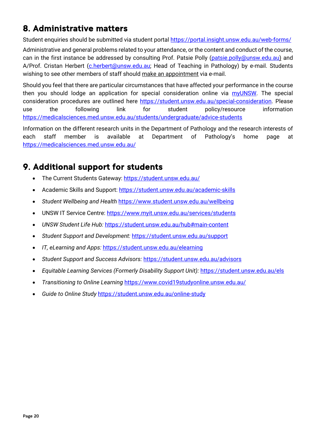# <span id="page-19-0"></span>8. Administrative matters

Student enquiries should be submitted via student portal<https://portal.insight.unsw.edu.au/web-forms/>

Administrative and general problems related to your attendance, or the content and conduct of the course, can in the first instance be addressed by consulting Prof. Patsie Polly [\(patsie.polly@unsw.edu.au\)](mailto:patsie.polly@unsw.edu.au) and A/Prof. Cristan Herbert (*c.herbert@unsw.edu.au;* Head of Teaching in Pathology) by e-mail. Students wishing to see other members of staff should make an appointment via e-mail.

Should you feel that there are particular circumstances that have affected your performance in the course then you should lodge an application for special consideration online via [myUNSW.](https://my.unsw.edu.au/) The special consideration procedures are outlined here [https://student.unsw.edu.au/special-consideration.](https://student.unsw.edu.au/special-consideration) Please use the following link for student policy/resource information <https://medicalsciences.med.unsw.edu.au/students/undergraduate/advice-students>

Information on the different research units in the Department of Pathology and the research interests of each staff member is available at Department of Pathology's home page at <https://medicalsciences.med.unsw.edu.au/>

# <span id="page-19-1"></span>9. Additional support for students

- The Current Students Gateway:<https://student.unsw.edu.au/>
- Academic Skills and Support:<https://student.unsw.edu.au/academic-skills>
- *Student Wellbeing and Health* <https://www.student.unsw.edu.au/wellbeing>
- UNSW IT Service Centre:<https://www.myit.unsw.edu.au/services/students>
- *UNSW Student Life Hub:* <https://student.unsw.edu.au/hub#main-content>
- *Student Support and Development:* <https://student.unsw.edu.au/support>
- *IT, eLearning and Apps:* <https://student.unsw.edu.au/elearning>
- *Student Support and Success Advisors:* <https://student.unsw.edu.au/advisors>
- *Equitable Learning Services (Formerly Disability Support Unit):* <https://student.unsw.edu.au/els>
- *Transitioning to Online Learning* <https://www.covid19studyonline.unsw.edu.au/>
- *Guide to Online Study* <https://student.unsw.edu.au/online-study>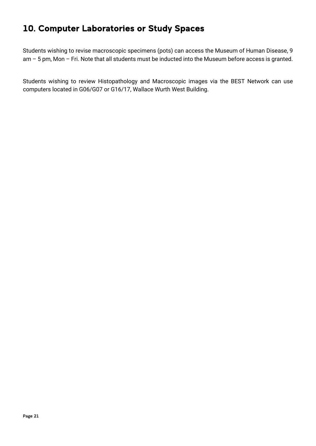# <span id="page-20-0"></span>10. Computer Laboratories or Study Spaces

Students wishing to revise macroscopic specimens (pots) can access the Museum of Human Disease, 9 am – 5 pm, Mon – Fri. Note that all students must be inducted into the Museum before access is granted.

Students wishing to review Histopathology and Macroscopic images via the BEST Network can use computers located in G06/G07 or G16/17, Wallace Wurth West Building.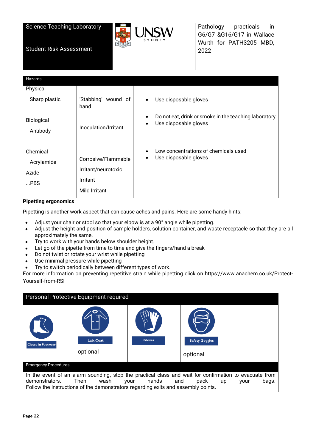Science Teaching Laboratory



Pathology practicals in G6/G7 &G16/G17 in Wallace Wurth for PATH3205 MBD, 2022

| Hazards                                   |                                                                         |                                                                                                  |
|-------------------------------------------|-------------------------------------------------------------------------|--------------------------------------------------------------------------------------------------|
| Physical                                  |                                                                         |                                                                                                  |
| Sharp plastic                             | 'Stabbing' wound of<br>hand                                             | Use disposable gloves<br>$\bullet$                                                               |
| Biological<br>Antibody                    | Inoculation/Irritant                                                    | Do not eat, drink or smoke in the teaching laboratory<br>٠<br>Use disposable gloves<br>$\bullet$ |
| Chemical<br>Acrylamide<br>Azide<br>$$ PBS | Corrosive/Flammable<br>Irritant/neurotoxic<br>Irritant<br>Mild Irritant | Low concentrations of chemicals used<br>$\bullet$<br>Use disposable gloves<br>٠                  |

#### **Pipetting ergonomics**

Pipetting is another work aspect that can cause aches and pains. Here are some handy hints:

- Adjust your chair or stool so that your elbow is at a 90° angle while pipetting.
- Adjust the height and position of sample holders, solution container, and waste receptacle so that they are all approximately the same.
- Try to work with your hands below shoulder height.
- Let go of the pipette from time to time and give the fingers/hand a break
- Do not twist or rotate your wrist while pipetting
- Use minimal pressure while pipetting
- Try to switch periodically between different types of work.

For more information on preventing repetitive strain while pipetting click on https://www.anachem.co.uk/Protect-Yourself-from-RSI

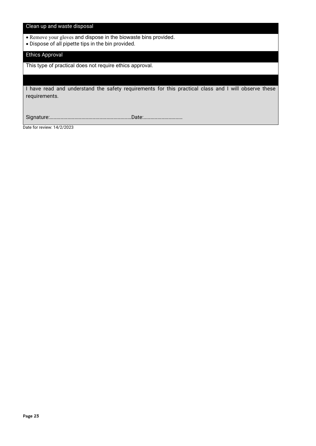#### Clean up and waste disposal

- Remove your gloves and dispose in the biowaste bins provided.
- Dispose of all pipette tips in the bin provided.

#### Ethics Approval

This type of practical does not require ethics approval.

I have read and understand the safety requirements for this practical class and I will observe these requirements.

Signature:……………………………………………………………Date:……………………………

Date for review: 14/2/2023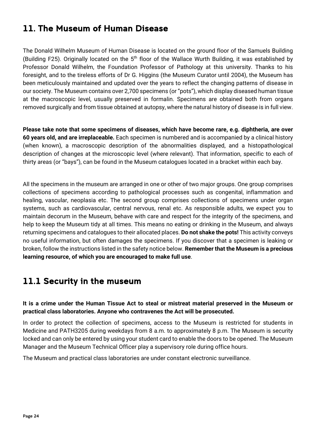# <span id="page-23-0"></span>11. The Museum of Human Disease

The Donald Wilhelm Museum of Human Disease is located on the ground floor of the Samuels Building (Building F25). Originally located on the 5<sup>th</sup> floor of the Wallace Wurth Building, it was established by Professor Donald Wilhelm, the Foundation Professor of Pathology at this university. Thanks to his foresight, and to the tireless efforts of Dr G. Higgins (the Museum Curator until 2004), the Museum has been meticulously maintained and updated over the years to reflect the changing patterns of disease in our society. The Museum contains over 2,700 specimens (or "pots"), which display diseased human tissue at the macroscopic level, usually preserved in formalin. Specimens are obtained both from organs removed surgically and from tissue obtained at autopsy, where the natural history of disease is in full view.

**Please take note that some specimens of diseases, which have become rare, e.g. diphtheria, are over 60 years old, and are irreplaceable.** Each specimen is numbered and is accompanied by a clinical history (when known), a macroscopic description of the abnormalities displayed, and a histopathological description of changes at the microscopic level (where relevant). That information, specific to each of thirty areas (or "bays"), can be found in the Museum catalogues located in a bracket within each bay.

All the specimens in the museum are arranged in one or other of two major groups. One group comprises collections of specimens according to pathological processes such as congenital, inflammation and healing, vascular, neoplasia etc. The second group comprises collections of specimens under organ systems, such as cardiovascular, central nervous, renal etc. As responsible adults, we expect you to maintain decorum in the Museum, behave with care and respect for the integrity of the specimens, and help to keep the Museum tidy at all times. This means no eating or drinking in the Museum, and always returning specimens and catalogues to their allocated places. **Do not shake the pots!** This activity conveys no useful information, but often damages the specimens. If you discover that a specimen is leaking or broken, follow the instructions listed in the safety notice below. **Remember that the Museum is a precious learning resource, of which you are encouraged to make full use**.

# <span id="page-23-1"></span>11.1 Security in the museum

#### **It is a crime under the Human Tissue Act to steal or mistreat material preserved in the Museum or practical class laboratories. Anyone who contravenes the Act will be prosecuted.**

In order to protect the collection of specimens, access to the Museum is restricted for students in Medicine and PATH3205 during weekdays from 8 a.m. to approximately 8 p.m. The Museum is security locked and can only be entered by using your student card to enable the doors to be opened. The Museum Manager and the Museum Technical Officer play a supervisory role during office hours.

The Museum and practical class laboratories are under constant electronic surveillance.